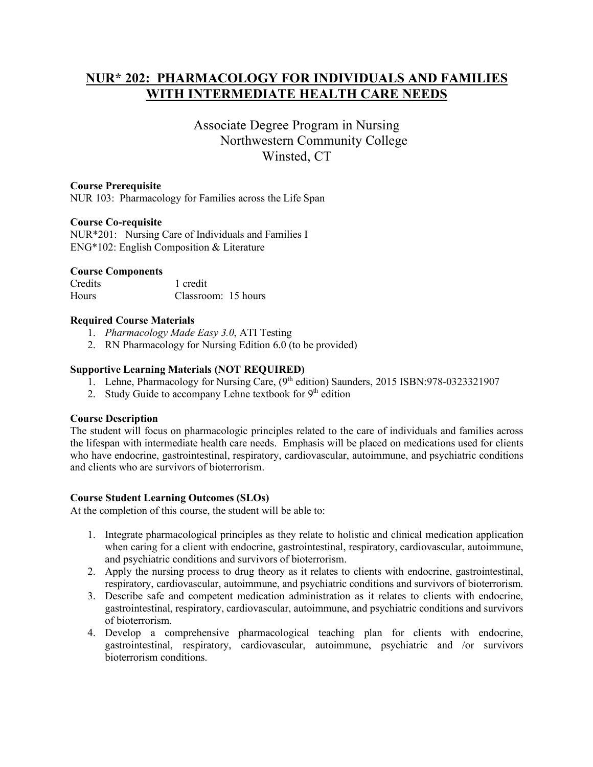# **NUR\* 202: PHARMACOLOGY FOR INDIVIDUALS AND FAMILIES WITH INTERMEDIATE HEALTH CARE NEEDS**

# Associate Degree Program in Nursing Northwestern Community College Winsted, CT

### **Course Prerequisite**

NUR 103: Pharmacology for Families across the Life Span

## **Course Co-requisite**

NUR\*201: Nursing Care of Individuals and Families I ENG\*102: English Composition & Literature

#### **Course Components**

Credits 1 credit Hours Classroom: 15 hours

#### **Required Course Materials**

- 1. *Pharmacology Made Easy 3.0*, ATI Testing
- 2. RN Pharmacology for Nursing Edition 6.0 (to be provided)

# **Supportive Learning Materials (NOT REQUIRED)**

- 1. Lehne, Pharmacology for Nursing Care, (9<sup>th</sup> edition) Saunders, 2015 ISBN:978-0323321907
- 2. Study Guide to accompany Lehne textbook for 9<sup>th</sup> edition

#### **Course Description**

The student will focus on pharmacologic principles related to the care of individuals and families across the lifespan with intermediate health care needs. Emphasis will be placed on medications used for clients who have endocrine, gastrointestinal, respiratory, cardiovascular, autoimmune, and psychiatric conditions and clients who are survivors of bioterrorism.

#### **Course Student Learning Outcomes (SLOs)**

At the completion of this course, the student will be able to:

- 1. Integrate pharmacological principles as they relate to holistic and clinical medication application when caring for a client with endocrine, gastrointestinal, respiratory, cardiovascular, autoimmune, and psychiatric conditions and survivors of bioterrorism.
- 2. Apply the nursing process to drug theory as it relates to clients with endocrine, gastrointestinal, respiratory, cardiovascular, autoimmune, and psychiatric conditions and survivors of bioterrorism.
- 3. Describe safe and competent medication administration as it relates to clients with endocrine, gastrointestinal, respiratory, cardiovascular, autoimmune, and psychiatric conditions and survivors of bioterrorism.
- 4. Develop a comprehensive pharmacological teaching plan for clients with endocrine, gastrointestinal, respiratory, cardiovascular, autoimmune, psychiatric and /or survivors bioterrorism conditions.